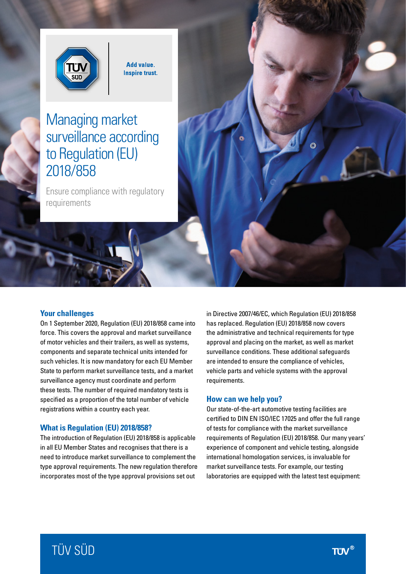

**Add value. Inspire trust.** 

# Managing market surveillance according to Regulation (EU) 2018/858

Ensure compliance with regulatory requirements

#### **Your challenges**

On 1 September 2020, Regulation (EU) 2018/858 came into force. This covers the approval and market surveillance of motor vehicles and their trailers, as well as systems, components and separate technical units intended for such vehicles. It is now mandatory for each EU Member State to perform market surveillance tests, and a market surveillance agency must coordinate and perform these tests. The number of required mandatory tests is specified as a proportion of the total number of vehicle registrations within a country each year.

#### **What is Regulation (EU) 2018/858?**

The introduction of Regulation (EU) 2018/858 is applicable in all EU Member States and recognises that there is a need to introduce market surveillance to complement the type approval requirements. The new regulation therefore incorporates most of the type approval provisions set out

in Directive 2007/46/EC, which Regulation (EU) 2018/858 has replaced. Regulation (EU) 2018/858 now covers the administrative and technical requirements for type approval and placing on the market, as well as market surveillance conditions. These additional safeguards are intended to ensure the compliance of vehicles, vehicle parts and vehicle systems with the approval requirements.

#### **How can we help you?**

Our state-of-the-art automotive testing facilities are certified to DIN EN ISO/IEC 17025 and offer the full range of tests for compliance with the market surveillance requirements of Regulation (EU) 2018/858. Our many years' experience of component and vehicle testing, alongside international homologation services, is invaluable for market surveillance tests. For example, our testing laboratories are equipped with the latest test equipment:

# TÜV SÜD